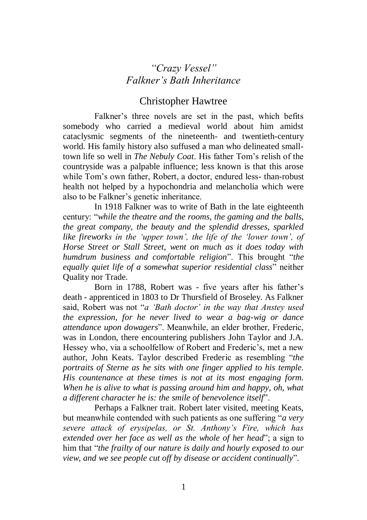## *"Crazy Vessel" Falkner's Bath Inheritance*

## Christopher Hawtree

Falkner's three novels are set in the past, which befits somebody who carried a medieval world about him amidst cataclysmic segments of the nineteenth- and twentieth-century world. His family history also suffused a man who delineated smalltown life so well in *The Nebuly Coat*. His father Tom's relish of the countryside was a palpable influence; less known is that this arose while Tom's own father, Robert, a doctor, endured less- than-robust health not helped by a hypochondria and melancholia which were also to be Falkner's genetic inheritance.

In 1918 Falkner was to write of Bath in the late eighteenth century: "*while the theatre and the rooms, the gaming and the balls, the great company, the beauty and the splendid dresses, sparkled like fireworks in the 'upper town', the life of the 'lower town', of Horse Street or Stall Street, went on much as it does today with humdrum business and comfortable religion*". This brought "*the equally quiet life of a somewhat superior residential class*" neither Quality nor Trade.

Born in 1788, Robert was - five years after his father's death - apprenticed in 1803 to Dr Thursfield of Broseley. As Falkner said, Robert was not "*a 'Bath doctor' in the way that Anstey used the expression, for he never lived to wear a bag-wig or dance attendance upon dowagers*". Meanwhile, an elder brother, Frederic, was in London, there encountering publishers John Taylor and J.A. Hessey who, via a schoolfellow of Robert and Frederic's, met a new author, John Keats. Taylor described Frederic as resembling "*the portraits of Sterne as he sits with one finger applied to his temple. His countenance at these times is not at its most engaging form. When he is alive to what is passing around him and happy, oh, what a different character he is: the smile of benevolence itself*".

Perhaps a Falkner trait. Robert later visited, meeting Keats, but meanwhile contended with such patients as one suffering "*a very severe attack of erysipelas, or St. Anthony's Fire, which has extended over her face as well as the whole of her head*"; a sign to him that "*the frailty of our nature is daily and hourly exposed to our view, and we see people cut off by disease or accident continually*".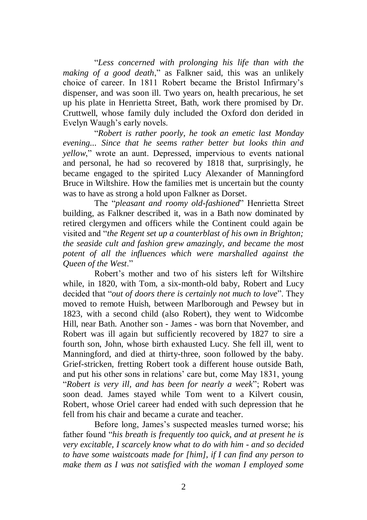"*Less concerned with prolonging his life than with the making of a good death*," as Falkner said, this was an unlikely choice of career. In 1811 Robert became the Bristol Infirmary's dispenser, and was soon ill. Two years on, health precarious, he set up his plate in Henrietta Street, Bath, work there promised by Dr. Cruttwell, whose family duly included the Oxford don derided in Evelyn Waugh's early novels.

"*Robert is rather poorly, he took an emetic last Monday evening... Since that he seems rather better but looks thin and yellow*," wrote an aunt. Depressed, impervious to events national and personal, he had so recovered by 1818 that, surprisingly, he became engaged to the spirited Lucy Alexander of Manningford Bruce in Wiltshire. How the families met is uncertain but the county was to have as strong a hold upon Falkner as Dorset.

The "*pleasant and roomy old-fashioned*" Henrietta Street building, as Falkner described it, was in a Bath now dominated by retired clergymen and officers while the Continent could again be visited and "*the Regent set up a counterblast of his own in Brighton; the seaside cult and fashion grew amazingly, and became the most potent of all the influences which were marshalled against the Queen of the West*."

Robert's mother and two of his sisters left for Wiltshire while, in 1820, with Tom, a six-month-old baby, Robert and Lucy decided that "*out of doors there is certainly not much to love*". They moved to remote Huish, between Marlborough and Pewsey but in 1823, with a second child (also Robert), they went to Widcombe Hill, near Bath. Another son - James - was born that November, and Robert was ill again but sufficiently recovered by 1827 to sire a fourth son, John, whose birth exhausted Lucy. She fell ill, went to Manningford, and died at thirty-three, soon followed by the baby. Grief-stricken, fretting Robert took a different house outside Bath, and put his other sons in relations' care but, come May 1831, young "*Robert is very ill, and has been for nearly a week*"; Robert was soon dead. James stayed while Tom went to a Kilvert cousin, Robert, whose Oriel career had ended with such depression that he fell from his chair and became a curate and teacher.

Before long, James's suspected measles turned worse; his father found "*his breath is frequently too quick, and at present he is very excitable, I scarcely know what to do with him - and so decided to have some waistcoats made for [him], if I can find any person to make them as I was not satisfied with the woman I employed some*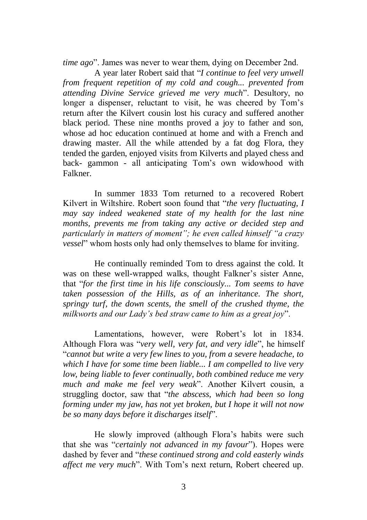*time ago*". James was never to wear them, dying on December 2nd.

A year later Robert said that "*I continue to feel very unwell from frequent repetition of my cold and cough... prevented from attending Divine Service grieved me very much*". Desultory, no longer a dispenser, reluctant to visit, he was cheered by Tom's return after the Kilvert cousin lost his curacy and suffered another black period. These nine months proved a joy to father and son, whose ad hoc education continued at home and with a French and drawing master. All the while attended by a fat dog Flora, they tended the garden, enjoyed visits from Kilverts and played chess and back- gammon - all anticipating Tom's own widowhood with Falkner.

In summer 1833 Tom returned to a recovered Robert Kilvert in Wiltshire. Robert soon found that "*the very fluctuating, I may say indeed weakened state of my health for the last nine months, prevents me from taking any active or decided step and particularly in matters of moment"; he even called himself "a crazy vessel*" whom hosts only had only themselves to blame for inviting.

He continually reminded Tom to dress against the cold. It was on these well-wrapped walks, thought Falkner's sister Anne, that "*for the first time in his life consciously... Tom seems to have taken possession of the Hills, as of an inheritance. The short, springy turf, the down scents, the smell of the crushed thyme, the milkworts and our Lady's bed straw came to him as a great joy*".

Lamentations, however, were Robert's lot in 1834. Although Flora was "*very well, very fat, and very idle*", he himself "*cannot but write a very few lines to you, from a severe headache, to which I have for some time been liable... I am compelled to live very low, being liable to fever continually, both combined reduce me very much and make me feel very weak*". Another Kilvert cousin, a struggling doctor, saw that "*the abscess, which had been so long forming under my jaw, has not yet broken, but I hope it will not now be so many days before it discharges itself*".

He slowly improved (although Flora's habits were such that she was "*certainly not advanced in my favour*"). Hopes were dashed by fever and "*these continued strong and cold easterly winds affect me very much*". With Tom's next return, Robert cheered up.